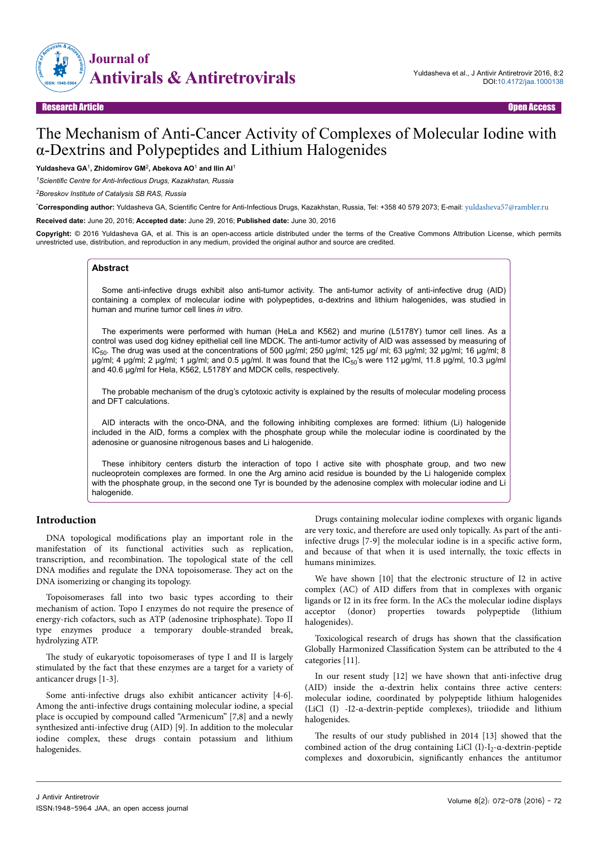

# The Mechanism of Anti-Cancer Activity of Complexes of Molecular Iodine with α-Dextrins and Polypeptides and Lithium Halogenides

**Yuldasheva GA**<sup>1</sup> **, Zhidomirov GM**<sup>2</sup> **, Abekova AO**<sup>1</sup>  **and Ilin AI**<sup>1</sup>

*<sup>1</sup>Scientific Centre for Anti-Infectious Drugs, Kazakhstan, Russia*

*<sup>2</sup>Boreskov Institute of Catalysis SB RAS, Russia*

\***Corresponding author:** Yuldasheva GA, Scientific Centre for Anti-Infectious Drugs, Kazakhstan, Russia, Tel: +358 40 579 2073; E-mail: [yuldasheva57@rambler.ru](mailto:yuldasheva57@rambler.ru)

**Received date:** June 20, 2016; **Accepted date:** June 29, 2016; **Published date:** June 30, 2016

**Copyright:** © 2016 Yuldasheva GA, et al. This is an open-access article distributed under the terms of the Creative Commons Attribution License, which permits unrestricted use, distribution, and reproduction in any medium, provided the original author and source are credited.

#### **Abstract**

Some anti-infective drugs exhibit also anti-tumor activity. The anti-tumor activity of anti-infective drug (AID) containing a complex of molecular iodine with polypeptides, α-dextrins and lithium halogenides, was studied in human and murine tumor cell lines *in vitro*.

The experiments were performed with human (HeLa and K562) and murine (L5178Y) tumor cell lines. As a control was used dog kidney epithelial cell line MDCK. The anti-tumor activity of AID was assessed by measuring of  $IC_{50}$ . The drug was used at the concentrations of 500 µg/ml; 250 µg/ml; 125 µg/ ml; 63 µg/ml; 32 µg/ml; 16 µg/ml; 8 µg/ml; 4 µg/ml; 2 µg/ml; 1 µg/ml; and 0.5 µg/ml. It was found that the IC<sub>50</sub>'s were 112 µg/ml, 11.8 µg/ml, 10.3 µg/ml and 40.6 µg/ml for Hela, K562, L5178Y and MDCK cells, respectively.

The probable mechanism of the drug's cytotoxic activity is explained by the results of molecular modeling process and DFT calculations.

AID interacts with the onco-DNA, and the following inhibiting complexes are formed: lithium (Li) halogenide included in the AID, forms a complex with the phosphate group while the molecular iodine is coordinated by the adenosine or guanosine nitrogenous bases and Li halogenide.

These inhibitory centers disturb the interaction of topo I active site with phosphate group, and two new nucleoprotein complexes are formed. In one the Arg amino acid residue is bounded by the Li halogenide complex with the phosphate group, in the second one Tyr is bounded by the adenosine complex with molecular iodine and Li halogenide.

# **Introduction**

DNA topological modifications play an important role in the manifestation of its functional activities such as replication, transcription, and recombination. Нe topological state of the cell DNA modifies and regulate the DNA topoisomerase. They act on the DNA isomerizing or changing its topology.

Topoisomerases fall into two basic types according to their mechanism of action. Topo I enzymes do not require the presence of energy-rich cofactors, such as ATP (adenosine triphosphate). Topo II type enzymes produce a temporary double-stranded break, hydrolyzing ATP.

The study of eukaryotic topoisomerases of type I and II is largely stimulated by the fact that these enzymes are a target for a variety of anticancer drugs [1-3].

Some anti-infective drugs also exhibit anticancer activity [4-6]. Among the anti-infective drugs containing molecular iodine, a special place is occupied by compound called "Armenicum" [7,8] and a newly synthesized anti-infective drug (AID) [9]. In addition to the molecular iodine complex, these drugs contain potassium and lithium halogenides.

Drugs containing molecular iodine complexes with organic ligands are very toxic, and therefore are used only topically. As part of the antiinfective drugs  $[7-9]$  the molecular iodine is in a specific active form, and because of that when it is used internally, the toxic effects in humans minimizes.

We have shown [10] that the electronic structure of I2 in active complex (AC) of AID differs from that in complexes with organic ligands or I2 in its free form. In the ACs the molecular iodine displays acceptor (donor) properties towards polypeptide (lithium halogenides).

Toxicological research of drugs has shown that the classification Globally Harmonized Classification System can be attributed to the 4 categories [11].

In our resent study [12] we have shown that anti-infective drug (AID) inside the α-dextrin helix contains three active centers: molecular iodine, coordinated by polypeptide lithium halogenides (LiCl (I) -I2-α-dextrin-peptide complexes), triiodide and lithium halogenides.

The results of our study published in 2014 [13] showed that the combined action of the drug containing LiCl  $(I)$ -I<sub>2</sub>- $\alpha$ -dextrin-peptide complexes and doxorubicin, significantly enhances the antitumor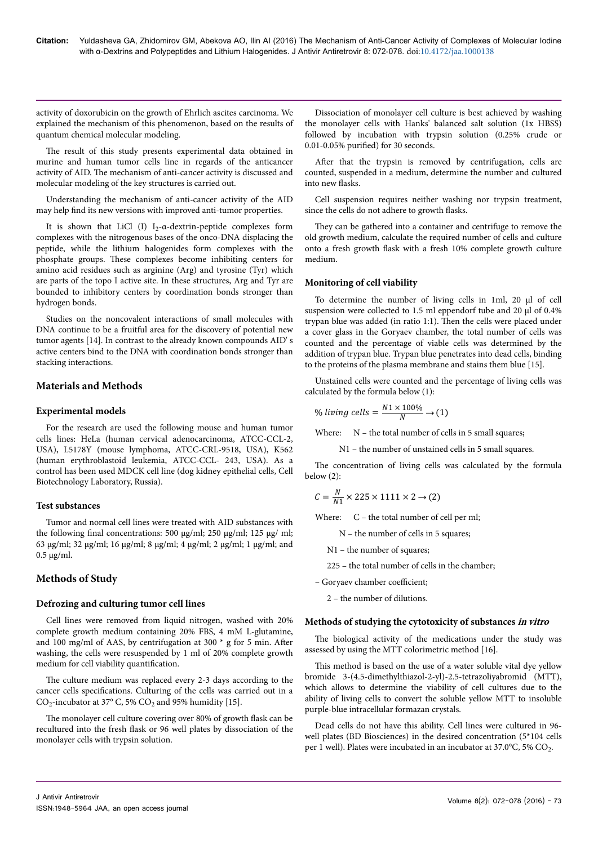activity of doxorubicin on the growth of Ehrlich ascites carcinoma. We explained the mechanism of this phenomenon, based on the results of quantum chemical molecular modeling.

The result of this study presents experimental data obtained in murine and human tumor cells line in regards of the anticancer activity of AID. Нe mechanism of anti-cancer activity is discussed and molecular modeling of the key structures is carried out.

Understanding the mechanism of anti-cancer activity of the AID may help find its new versions with improved anti-tumor properties.

It is shown that LiCl  $(I)$  I<sub>2</sub>- $\alpha$ -dextrin-peptide complexes form complexes with the nitrogenous bases of the onco-DNA displacing the peptide, while the lithium halogenides form complexes with the phosphate groups. Нese complexes become inhibiting centers for amino acid residues such as arginine (Arg) and tyrosine (Tyr) which are parts of the topo I active site. In these structures, Arg and Tyr are bounded to inhibitory centers by coordination bonds stronger than hydrogen bonds.

Studies on the noncovalent interactions of small molecules with DNA continue to be a fruitful area for the discovery of potential new tumor agents [14]. In contrast to the already known compounds AID' s active centers bind to the DNA with coordination bonds stronger than stacking interactions.

## **Materials and Methods**

## **Experimental models**

For the research are used the following mouse and human tumor cells lines: HeLa (human cervical adenocarcinoma, ATCC-CCL-2, USA), L5178Y (mouse lymphoma, ATCC-CRL-9518, USA), K562 (human erythroblastoid leukemia, ATCC-CCL- 243, USA). As a control has been used MDCK cell line (dog kidney epithelial cells, Cell Biotechnology Laboratory, Russia).

#### **Test substances**

Tumor and normal cell lines were treated with AID substances with the following final concentrations: 500 µg/ml; 250 µg/ml; 125 µg/ ml; 63 µg/ml; 32 µg/ml; 16 µg/ml; 8 µg/ml; 4 µg/ml; 2 µg/ml; 1 µg/ml; and  $0.5 \mu g/ml$ .

# **Methods of Study**

## **Defrozing and culturing tumor cell lines**

Cell lines were removed from liquid nitrogen, washed with 20% complete growth medium containing 20% FBS, 4 mM L-glutamine, and 100 mg/ml of AAS, by centrifugation at 300  $*$  g for 5 min. After washing, the cells were resuspended by 1 ml of 20% complete growth medium for cell viability quantification.

The culture medium was replaced every 2-3 days according to the cancer cells specifications. Culturing of the cells was carried out in a  $CO_2$ -incubator at 37° C, 5%  $CO_2$  and 95% humidity [15].

The monolayer cell culture covering over 80% of growth flask can be recultured into the fresh flask or 96 well plates by dissociation of the monolayer cells with trypsin solution.

Dissociation of monolayer cell culture is best achieved by washing the monolayer cells with Hanks' balanced salt solution (1x HBSS) followed by incubation with trypsin solution (0.25% crude or  $0.01$ -0.05% purified) for 30 seconds.

After that the trypsin is removed by centrifugation, cells are counted, suspended in a medium, determine the number and cultured into new flasks.

Cell suspension requires neither washing nor trypsin treatment, since the cells do not adhere to growth flasks.

They can be gathered into a container and centrifuge to remove the old growth medium, calculate the required number of cells and culture onto a fresh growth flask with a fresh 10% complete growth culture medium.

## **Monitoring of cell viability**

To determine the number of living cells in 1ml, 20 µl of cell suspension were collected to 1.5 ml eppendorf tube and 20 µl of 0.4% trypan blue was added (in ratio 1:1). Нen the cells were placed under a cover glass in the Goryaev chamber, the total number of cells was counted and the percentage of viable cells was determined by the addition of trypan blue. Trypan blue penetrates into dead cells, binding to the proteins of the plasma membrane and stains them blue [15].

Unstained cells were counted and the percentage of living cells was calculated by the formula below (1):

$$
\% \ living \ cells = \frac{N1 \times 100\%}{N} \rightarrow (1)
$$

Where: N – the total number of cells in 5 small squares;

N1 – the number of unstained cells in 5 small squares.

The concentration of living cells was calculated by the formula below (2):

$$
C = \frac{N}{N1} \times 225 \times 1111 \times 2 \rightarrow (2)
$$

Where: C – the total number of cell per ml;

N – the number of cells in 5 squares;

N1 – the number of squares;

225 – the total number of cells in the chamber;

- Goryaev chamber coefficient;

2 – the number of dilutions.

## **Methods of studying the cytotoxicity of substances in vitro**

The biological activity of the medications under the study was assessed by using the MTT colorimetric method [16].

This method is based on the use of a water soluble vital dye yellow bromide 3-(4.5-dimethylthiazol-2-yl)-2.5-tetrazoliyabromid (MTT), which allows to determine the viability of cell cultures due to the ability of living cells to convert the soluble yellow MTT to insoluble purple-blue intracellular formazan crystals.

Dead cells do not have this ability. Cell lines were cultured in 96 well plates (BD Biosciences) in the desired concentration (5\*104 cells per 1 well). Plates were incubated in an incubator at 37.0°C, 5%  $\rm CO_2$ .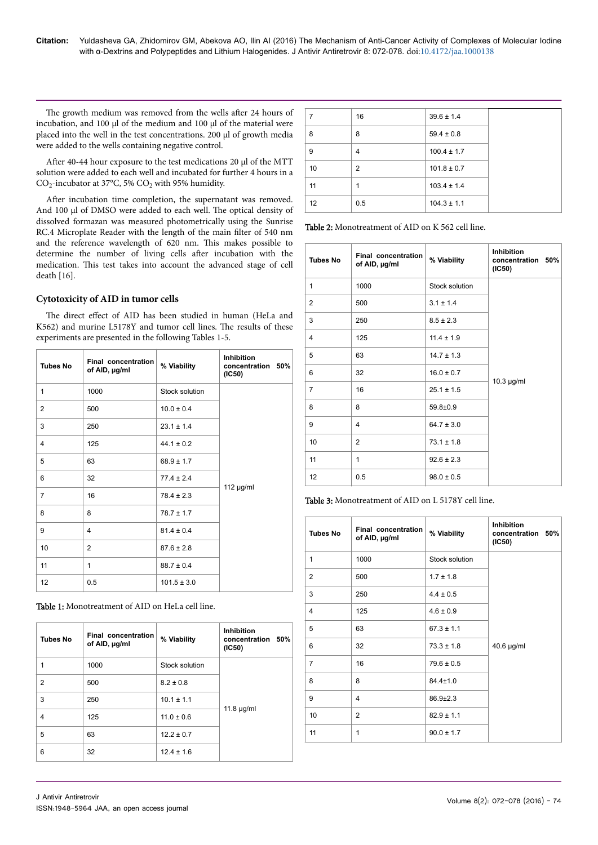The growth medium was removed from the wells after 24 hours of incubation, and 100 µl of the medium and 100 µl of the material were placed into the well in the test concentrations. 200 µl of growth media were added to the wells containing negative control.

After 40-44 hour exposure to the test medications 20 µl of the MTT solution were added to each well and incubated for further 4 hours in a  $CO_2$ -incubator at 37°C, 5%  $CO_2$  with 95% humidity.

After incubation time completion, the supernatant was removed. And 100 µl of DMSO were added to each well. Нe optical density of dissolved formazan was measured photometrically using the Sunrise RC.4 Microplate Reader with the length of the main filter of 540 nm and the reference wavelength of 620 nm. This makes possible to determine the number of living cells after incubation with the medication. This test takes into account the advanced stage of cell death [16].

#### **Cytotoxicity of AID in tumor cells**

The direct effect of AID has been studied in human (HeLa and K562) and murine L5178Y and tumor cell lines. The results of these experiments are presented in the following Tables 1-5.

| <b>Tubes No</b> | Final concentration<br>of AID, µg/ml | % Viability     | <b>Inhibition</b><br>concentration 50%<br>(IC50) |
|-----------------|--------------------------------------|-----------------|--------------------------------------------------|
| 1               | 1000                                 | Stock solution  |                                                  |
| $\overline{2}$  | 500                                  | $10.0 \pm 0.4$  |                                                  |
| 3               | 250                                  | $23.1 \pm 1.4$  |                                                  |
| 4               | 125                                  | $44.1 \pm 0.2$  |                                                  |
| 5               | 63                                   | $68.9 \pm 1.7$  |                                                  |
| 6               | 32                                   | $77.4 \pm 2.4$  | 112 $\mu$ g/ml                                   |
| $\overline{7}$  | 16                                   | $78.4 \pm 2.3$  |                                                  |
| 8               | 8                                    | $78.7 \pm 1.7$  |                                                  |
| 9               | 4                                    | $81.4 \pm 0.4$  |                                                  |
| 10              | $\overline{2}$                       | $87.6 \pm 2.8$  |                                                  |
| 11              | 1                                    | $88.7 \pm 0.4$  |                                                  |
| 12              | 0.5                                  | $101.5 \pm 3.0$ |                                                  |

Table 1: Monotreatment of AID on HeLa cell line.

| <b>Tubes No</b> | Final concentration<br>of AID, µg/ml | % Viability    | <b>Inhibition</b><br>concentration 50%<br>(IC50) |
|-----------------|--------------------------------------|----------------|--------------------------------------------------|
| 1               | 1000                                 | Stock solution |                                                  |
| $\overline{2}$  | 500                                  | $8.2 \pm 0.8$  |                                                  |
| 3               | 250                                  | $10.1 \pm 1.1$ |                                                  |
| $\overline{4}$  | 125                                  | $11.0 \pm 0.6$ | 11.8 $\mu$ g/ml                                  |
| 5               | 63                                   | $12.2 \pm 0.7$ |                                                  |
| 6               | 32                                   | $12.4 \pm 1.6$ |                                                  |

| 7  | 16  | $39.6 \pm 1.4$  |  |
|----|-----|-----------------|--|
| 8  | 8   | $59.4 \pm 0.8$  |  |
| 9  | 4   | $100.4 \pm 1.7$ |  |
| 10 | 2   | $101.8 \pm 0.7$ |  |
| 11 | 1   | $103.4 \pm 1.4$ |  |
| 12 | 0.5 | $104.3 \pm 1.1$ |  |

Table 2: Monotreatment of AID on K 562 cell line.

| <b>Tubes No</b> | <b>Final concentration</b><br>of AID, µg/ml | % Viability    | <b>Inhibition</b><br>concentration 50%<br>(IC50) |
|-----------------|---------------------------------------------|----------------|--------------------------------------------------|
| 1               | 1000                                        | Stock solution |                                                  |
| $\overline{2}$  | 500                                         | $3.1 \pm 1.4$  |                                                  |
| 3               | 250                                         | $8.5 \pm 2.3$  |                                                  |
| 4               | 125                                         | $11.4 \pm 1.9$ |                                                  |
| 5               | 63                                          | $14.7 \pm 1.3$ |                                                  |
| 6               | 32                                          | $16.0 \pm 0.7$ | $10.3$ µg/ml                                     |
| $\overline{7}$  | 16                                          | $25.1 \pm 1.5$ |                                                  |
| 8               | 8                                           | 59.8±0.9       |                                                  |
| 9               | $\overline{4}$                              | $64.7 \pm 3.0$ |                                                  |
| 10              | $\overline{2}$                              | $73.1 \pm 1.8$ |                                                  |
| 11              | 1                                           | $92.6 \pm 2.3$ |                                                  |
| 12              | 0.5                                         | $98.0 \pm 0.5$ |                                                  |

Table 3: Monotreatment of AID on L 5178Y cell line.

| <b>Tubes No</b> | Final concentration<br>of AID, µg/ml | % Viability    | <b>Inhibition</b><br>concentration 50%<br>(IC50) |
|-----------------|--------------------------------------|----------------|--------------------------------------------------|
| 1               | 1000                                 | Stock solution |                                                  |
| $\overline{2}$  | 500                                  | $1.7 \pm 1.8$  |                                                  |
| 3               | 250                                  | $4.4 \pm 0.5$  |                                                  |
| 4               | 125                                  | $4.6 \pm 0.9$  |                                                  |
| 5               | 63                                   | $67.3 \pm 1.1$ |                                                  |
| 6               | 32                                   | $73.3 \pm 1.8$ | 40.6 µg/ml                                       |
| $\overline{7}$  | 16                                   | $79.6 \pm 0.5$ |                                                  |
| 8               | 8                                    | $84.4 \pm 1.0$ |                                                  |
| 9               | $\overline{4}$                       | $86.9 \pm 2.3$ |                                                  |
| 10              | 2                                    | $82.9 \pm 1.1$ |                                                  |
| 11              | 1                                    | $90.0 \pm 1.7$ |                                                  |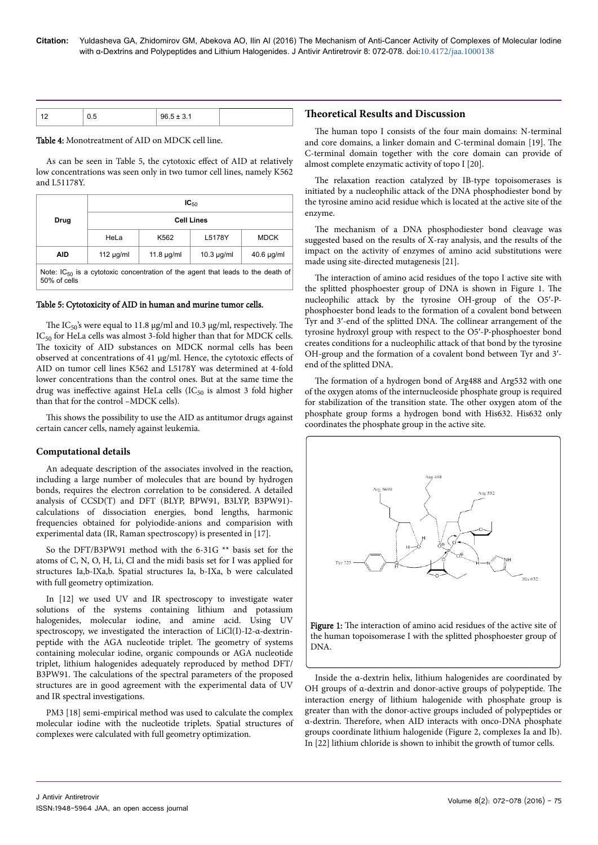|  | $96.5 \pm 3$ | <b>Theoretical Results and Discussion</b> |
|--|--------------|-------------------------------------------|

#### Table 4: Monotreatment of AID on MDCK cell line.

As can be seen in Table 5, the cytotoxic effect of AID at relatively low concentrations was seen only in two tumor cell lines, namely K562 and L51178Y.

|                                                                                                      | $IC_{50}$         |                 |                 |                 |
|------------------------------------------------------------------------------------------------------|-------------------|-----------------|-----------------|-----------------|
| Drug                                                                                                 | <b>Cell Lines</b> |                 |                 |                 |
|                                                                                                      | HeLa              | K562            | L5178Y          | <b>MDCK</b>     |
| <b>AID</b>                                                                                           | $112 \mu q/ml$    | 11.8 $\mu$ g/ml | $10.3 \mu q/ml$ | $40.6 \mu q/ml$ |
| Note: $IC_{50}$ is a cytotoxic concentration of the agent that leads to the death of<br>50% of cells |                   |                 |                 |                 |

#### Table 5: Cytotoxicity of AID in human and murine tumor cells.

The IC<sub>50</sub>'s were equal to 11.8  $\mu$ g/ml and 10.3  $\mu$ g/ml, respectively. The IC<sub>50</sub> for HeLa cells was almost 3-fold higher than that for MDCK cells. The toxicity of AID substances on MDCK normal cells has been observed at concentrations of 41 µg/ml. Hence, the cytotoxic effects of AID on tumor cell lines K562 and L5178Y was determined at 4-fold lower concentrations than the control ones. But at the same time the drug was ineffective against HeLa cells ( $IC_{50}$  is almost 3 fold higher than that for the control –MDCK cells).

This shows the possibility to use the AID as antitumor drugs against certain cancer cells, namely against leukemia.

#### **Computational details**

An adequate description of the associates involved in the reaction, including a large number of molecules that are bound by hydrogen bonds, requires the electron correlation to be considered. A detailed analysis of CCSD(T) and DFT (BLYP, BPW91, B3LYP, B3PW91) calculations of dissociation energies, bond lengths, harmonic frequencies obtained for polyiodide-anions and comparision with experimental data (IR, Raman spectroscopy) is presented in [17].

So the DFT/B3PW91 method with the 6-31G \*\* basis set for the atoms of C, N, O, H, Li, Cl and the midi basis set for I was applied for structures Ia,b-IXa,b. Spatial structures Ia, b-IXa, b were calculated with full geometry optimization.

In [12] we used UV and IR spectroscopy to investigate water solutions of the systems containing lithium and potassium halogenides, molecular iodine, and amine acid. Using UV spectroscopy, we investigated the interaction of LiCl(I)-I2-α-dextrinpeptide with the AGA nucleotide triplet. Нe geometry of systems containing molecular iodine, organic compounds or AGA nucleotide triplet, lithium halogenides adequately reproduced by method DFT/ B3PW91. Нe calculations of the spectral parameters of the proposed structures are in good agreement with the experimental data of UV and IR spectral investigations.

PM3 [18] semi-empirical method was used to calculate the complex molecular iodine with the nucleotide triplets. Spatial structures of complexes were calculated with full geometry optimization.

The human topo I consists of the four main domains: N-terminal and core domains, a linker domain and C-terminal domain [19]. Нe C-terminal domain together with the core domain can provide of almost complete enzymatic activity of topo I [20].

The relaxation reaction catalyzed by IB-type topoisomerases is initiated by a nucleophilic attack of the DNA phosphodiester bond by the tyrosine amino acid residue which is located at the active site of the enzyme.

The mechanism of a DNA phosphodiester bond cleavage was suggested based on the results of X-ray analysis, and the results of the impact on the activity of enzymes of amino acid substitutions were made using site-directed mutagenesis [21].

The interaction of amino acid residues of the topo I active site with the splitted phosphoester group of DNA is shown in Figure 1. Нe nucleophilic attack by the tyrosine OH-group of the О5′-Pphosphoester bond leads to the formation of a covalent bond between Tyr and 3′-end of the splitted DNA. Нe collinear arrangement of the tyrosine hydroxyl group with respect to the О5′-P-phosphoester bond creates conditions for a nucleophilic attack of that bond by the tyrosine OH-group and the formation of a covalent bond between Tyr and 3′ end of the splitted DNA.

The formation of a hydrogen bond of Arg488 and Arg532 with one of the oxygen atoms of the internucleoside phosphate group is required for stabilization of the transition state. Нe other oxygen atom of the phosphate group forms a hydrogen bond with His632. His632 only coordinates the phosphate group in the active site.



Inside the α-dextrin helix, lithium halogenides are coordinated by OH groups of α-dextrin and donor-active groups of polypeptide. Нe interaction energy of lithium halogenide with phosphate group is greater than with the donor-active groups included of polypeptides or α-dextrin. Нerefore, when AID interacts with onco-DNA phosphate groups coordinate lithium halogenide (Figure 2, complexes Ia and Ib). In [22] lithium chloride is shown to inhibit the growth of tumor cells.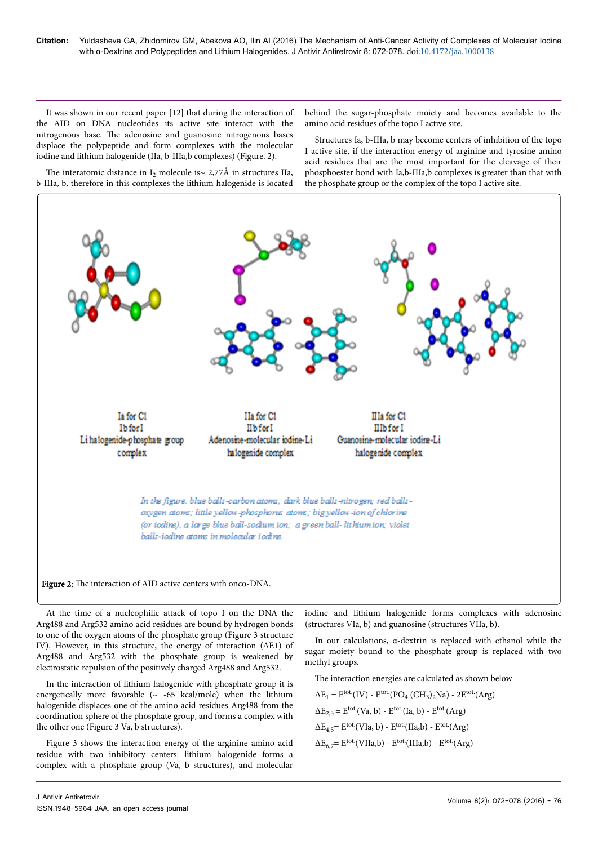It was shown in our recent paper [12] that during the interaction of the AID on DNA nucleotides its active site interact with the nitrogenous base. Нe adenosine and guanosine nitrogenous bases displace the polypeptide and form complexes with the molecular iodine and lithium halogenide (IIa, b-IIIa,b complexes) (Figure. 2).

The interatomic distance in  $I_2$  molecule is $\sim$  2,77A in structures IIa, b-IIIa, b, therefore in this complexes the lithium halogenide is located behind the sugar-phosphate moiety and becomes available to the amino acid residues of the topo I active site.

Structures Ia, b-IIIa, b may become centers of inhibition of the topo I active site, if the interaction energy of arginine and tyrosine amino acid residues that are the most important for the cleavage of their phosphoester bond with Ia,b-IIIa,b complexes is greater than that with the phosphate group or the complex of the topo I active site.



At the time of a nucleophilic attack of topo I on the DNA the Arg488 and Arg532 amino acid residues are bound by hydrogen bonds to one of the oxygen atoms of the phosphate group (Figure 3 structure IV). However, in this structure, the energy of interaction (∆E1) of Arg488 and Arg532 with the phosphate group is weakened by electrostatic repulsion of the positively charged Arg488 and Arg532.

In the interaction of lithium halogenide with phosphate group it is energetically more favorable  $({\sim}$  -65 kcal/mole) when the lithium halogenide displaces one of the amino acid residues Arg488 from the coordination sphere of the phosphate group, and forms a complex with the other one (Figure 3 Va, b structures).

Figure 3 shows the interaction energy of the arginine amino acid residue with two inhibitory centers: lithium halogenide forms a complex with a phosphate group (Va, b structures), and molecular

iodine and lithium halogenide forms complexes with adenosine (structures VIa, b) and guanosine (structures VIIa, b).

In our calculations, α-dextrin is replaced with ethanol while the sugar moiety bound to the phosphate group is replaced with two methyl groups.

The interaction energies are calculated as shown below

 $\Delta E_1 = E^{tot.} (IV) - E^{tot.} (PO_4 (CH_3)_2)$  - 2 $E^{tot.} (Arg)$  $\Delta E_{2,3} = E^{tot.}$ (Va, b) -  $E^{tot.}$ (Ia, b) -  $E^{tot.}$ (Arg)  $\Delta E_{4.5} = E^{tot.}$ (VIa, b) -  $E^{tot.}$ (IIa,b) -  $E^{tot.}$ (Arg)  $\Delta E_6 = E^{tot}$ (VIIa,b) -  $E^{tot}$ (IIIa,b) -  $E^{tot}$ (Arg)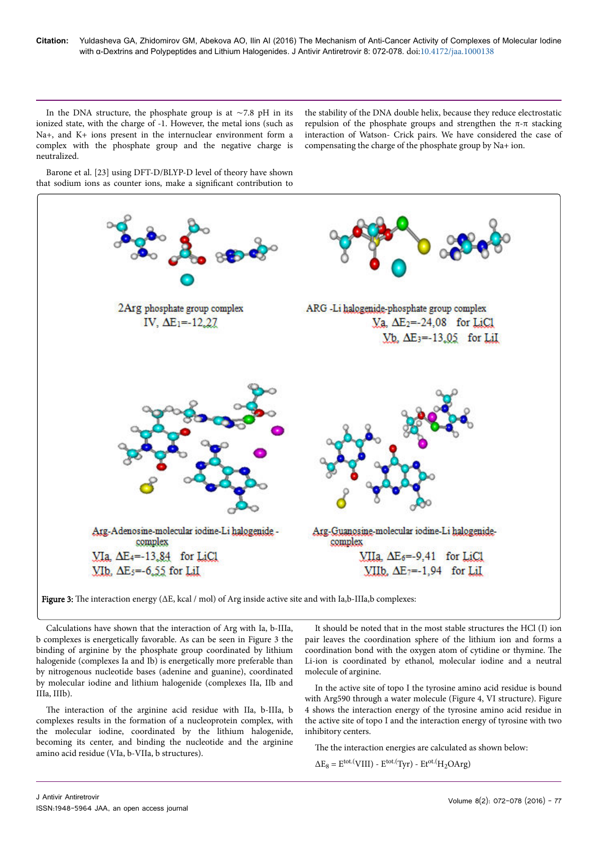In the DNA structure, the phosphate group is at ∼7.8 pH in its ionized state, with the charge of -1. However, the metal ions (such as Na+, and K+ ions present in the internuclear environment form a complex with the phosphate group and the negative charge is neutralized.

the stability of the DNA double helix, because they reduce electrostatic repulsion of the phosphate groups and strengthen the π-π stacking interaction of Watson- Crick pairs. We have considered the case of compensating the charge of the phosphate group by Na+ ion.

Barone et al. [23] using DFT-D/BLYP-D level of theory have shown that sodium ions as counter ions, make a significant contribution to



Figure 3: The interaction energy  $(\Delta E, kcal / mol)$  of Arg inside active site and with Ia,b-IIIa,b complexes:

Calculations have shown that the interaction of Arg with Ia, b-IIIa, b complexes is energetically favorable. As can be seen in Figure 3 the binding of arginine by the phosphate group coordinated by lithium halogenide (complexes Ia and Ib) is energetically more preferable than by nitrogenous nucleotide bases (adenine and guanine), coordinated by molecular iodine and lithium halogenide (complexes IIa, IIb and IIIa, IIIb).

The interaction of the arginine acid residue with IIa, b-IIIa, b complexes results in the formation of a nucleoprotein complex, with the molecular iodine, coordinated by the lithium halogenide, becoming its center, and binding the nucleotide and the arginine amino acid residue (VIa, b-VIIa, b structures).

It should be noted that in the most stable structures the HCl (I) ion pair leaves the coordination sphere of the lithium ion and forms a coordination bond with the oxygen atom of cytidine or thymine. Нe Li-ion is coordinated by ethanol, molecular iodine and a neutral molecule of arginine.

In the active site of topo I the tyrosine amino acid residue is bound with Arg590 through a water molecule (Figure 4, VI structure). Figure 4 shows the interaction energy of the tyrosine amino acid residue in the active site of topo I and the interaction energy of tyrosine with two inhibitory centers.

The the interaction energies are calculated as shown below:

 $\Delta E_8 = E^{tot.}(VIII) - E^{tot.}(Tryr) - Et^{ot.}(H_2OArg)$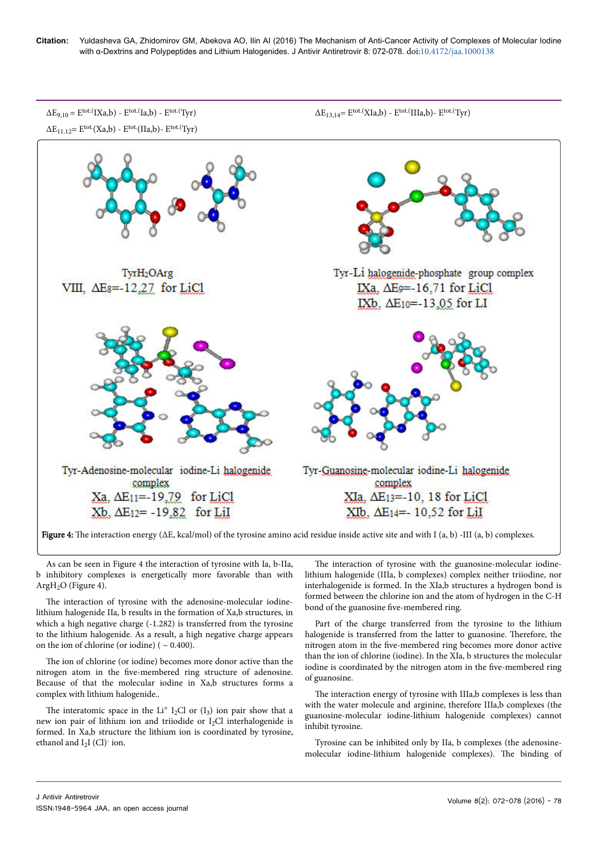**Citation:** Yuldasheva GA, Zhidomirov GM, Abekova AO, Ilin AI (2016) The Mechanism of Anti-Cancer Activity of Complexes of Molecular Iodine with α-Dextrins and Polypeptides and Lithium Halogenides. J Antivir Antiretrovir 8: 072-078. doi:10.4172/jaa.1000138



**Figure 4:** The interaction energy ( $\Delta E$ , kcal/mol) of the tyrosine amino acid residue inside active site and with I (a, b) -III (a, b) complexes.

As can be seen in Figure 4 the interaction of tyrosine with Ia, b-IIa, b inhibitory complexes is energetically more favorable than with Arg $H<sub>2</sub>O$  (Figure 4).

The interaction of tyrosine with the adenosine-molecular iodinelithium halogenide IIa, b results in the formation of Xa,b structures, in which a high negative charge (-1.282) is transferred from the tyrosine to the lithium halogenide. As a result, a high negative charge appears on the ion of chlorine (or iodine) ( $\sim 0.400$ ).

The ion of chlorine (or iodine) becomes more donor active than the nitrogen atom in the five-membered ring structure of adenosine. Because of that the molecular iodine in Xa,b structures forms a complex with lithium halogenide..

The interatomic space in the  $Li<sup>+</sup> I<sub>2</sub>Cl$  or  $(I<sub>3</sub>)$  ion pair show that a new ion pair of lithium ion and triiodide or I<sub>2</sub>Cl interhalogenide is formed. In Xa,b structure the lithium ion is coordinated by tyrosine, ethanol and  $I_2I$  (Cl) $\cdot$  ion.

The interaction of tyrosine with the guanosine-molecular iodinelithium halogenide (IIIa, b complexes) complex neither triiodine, nor interhalogenide is formed. In the XIa,b structures a hydrogen bond is formed between the chlorine ion and the atom of hydrogen in the C-H bond of the guanosine five-membered ring.

Part of the charge transferred from the tyrosine to the lithium halogenide is transferred from the latter to guanosine. Therefore, the nitrogen atom in the five-membered ring becomes more donor active than the ion of chlorine (iodine). In the XIa, b structures the molecular iodine is coordinated by the nitrogen atom in the five-membered ring of guanosine.

The interaction energy of tyrosine with IIIa,b complexes is less than with the water molecule and arginine, therefore IIIa,b complexes (the guanosine-molecular iodine-lithium halogenide complexes) cannot inhibit tyrosine.

Tyrosine can be inhibited only by IIa, b complexes (the adenosinemolecular iodine-lithium halogenide complexes). Нe binding of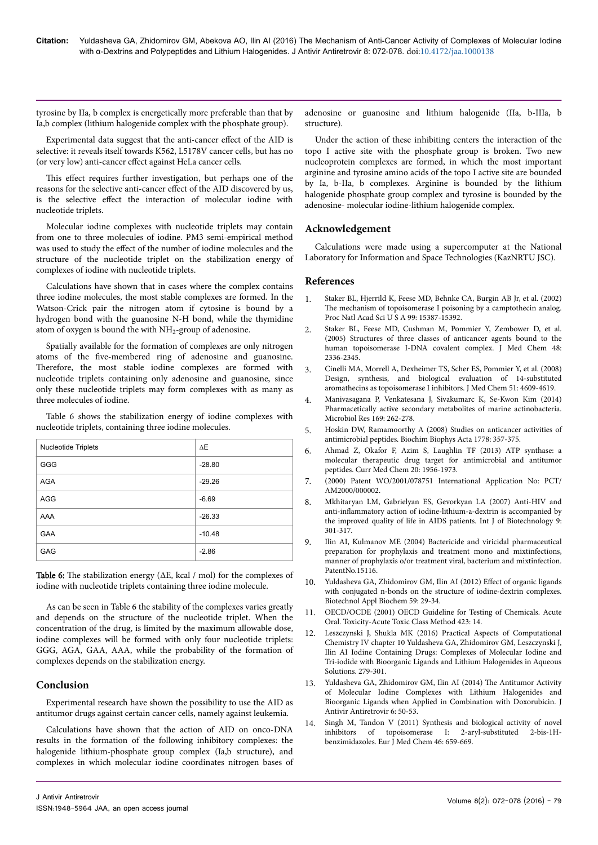tyrosine by IIa, b complex is energetically more preferable than that by Ia,b complex (lithium halogenide complex with the phosphate group).

Experimental data suggest that the anti-cancer effect of the AID is selective: it reveals itself towards K562, L5178V cancer cells, but has no (or very low) anti-cancer effect against HeLa cancer cells.

This effect requires further investigation, but perhaps one of the reasons for the selective anti-cancer effect of the AID discovered by us, is the selective effect the interaction of molecular iodine with nucleotide triplets.

Molecular iodine complexes with nucleotide triplets may contain from one to three molecules of iodine. PM3 semi-empirical method was used to study the effect of the number of iodine molecules and the structure of the nucleotide triplet on the stabilization energy of complexes of iodine with nucleotide triplets.

Calculations have shown that in cases where the complex contains three iodine molecules, the most stable complexes are formed. In the Watson-Crick pair the nitrogen atom if cytosine is bound by a hydrogen bond with the guanosine N-H bond, while the thymidine atom of oxygen is bound the with  $\rm NH_2$ -group of adenosine.

Spatially available for the formation of complexes are only nitrogen atoms of the five-membered ring of adenosine and guanosine. Therefore, the most stable iodine complexes are formed with nucleotide triplets containing only adenosine and guanosine, since only these nucleotide triplets may form complexes with as many as three molecules of iodine.

Table 6 shows the stabilization energy of iodine complexes with nucleotide triplets, containing three iodine molecules.

| Nucleotide Triplets | $\Delta E$ |
|---------------------|------------|
| GGG                 | $-28.80$   |
| <b>AGA</b>          | $-29.26$   |
| <b>AGG</b>          | $-6.69$    |
| AAA                 | $-26.33$   |
| <b>GAA</b>          | $-10.48$   |
| <b>GAG</b>          | $-2.86$    |

**Table 6:** The stabilization energy ( $\Delta E$ , kcal / mol) for the complexes of iodine with nucleotide triplets containing three iodine molecule.

As can be seen in Table 6 the stability of the complexes varies greatly and depends on the structure of the nucleotide triplet. When the concentration of the drug, is limited by the maximum allowable dose, iodine complexes will be formed with only four nucleotide triplets: GGG, AGA, GAA, AAA, while the probability of the formation of complexes depends on the stabilization energy.

# **Conclusion**

Experimental research have shown the possibility to use the AID as antitumor drugs against certain cancer cells, namely against leukemia.

Calculations have shown that the action of AID on onco-DNA results in the formation of the following inhibitory complexes: the halogenide lithium-phosphate group complex (Ia,b structure), and complexes in which molecular iodine coordinates nitrogen bases of adenosine or guanosine and lithium halogenide (IIa, b-IIIa, b structure).

Under the action of these inhibiting centers the interaction of the topo I active site with the phosphate group is broken. Two new nucleoprotein complexes are formed, in which the most important arginine and tyrosine amino acids of the topo I active site are bounded by Ia, b-IIa, b complexes. Arginine is bounded by the lithium halogenide phosphate group complex and tyrosine is bounded by the adenosine- molecular iodine-lithium halogenide complex.

## **Acknowledgement**

Calculations were made using a supercomputer at the National Laboratory for Information and Space Technologies (KazNRTU JSC).

## **References**

- 1. [Staker BL, Hjerrild K, Feese MD, Behnke CA, Burgin AB Jr, et al. \(2002\)](http://www.ncbi.nlm.nih.gov/pubmed/) The [mechanism of topoisomerase I poisoning by a camptothecin analog.](http://www.ncbi.nlm.nih.gov/pubmed/) [Proc Natl Acad Sci U S A 99: 15387-15392.](http://www.ncbi.nlm.nih.gov/pubmed/)
- 2. [Staker BL, Feese MD, Cushman M, Pommier Y, Zembower D, et al.](http://www.ncbi.nlm.nih.gov/pubmed/) [\(2005\) Structures of three classes of anticancer agents bound to the](http://www.ncbi.nlm.nih.gov/pubmed/) [human topoisomerase I-DNA covalent complex. J Med Chem 48:](http://www.ncbi.nlm.nih.gov/pubmed/) [2336-2345.](http://www.ncbi.nlm.nih.gov/pubmed/)
- 3. [Cinelli MA, Morrell A, Dexheimer TS, Scher ES, Pommier Y, et al. \(2008\)](http://www.ncbi.nlm.nih.gov/pubmed/) [Design, synthesis, and biological evaluation of 14-substituted](http://www.ncbi.nlm.nih.gov/pubmed/) [aromathecins as topoisomerase I inhibitors. J Med Chem 51: 4609-4619.](http://www.ncbi.nlm.nih.gov/pubmed/)
- 4. [Manivasagana P, Venkatesana J, Sivakumarc K, Se-Kwon Kim \(2014\)](http://www.ncbi.nlm.nih.gov/pubmed/23958059) [Pharmacetically active secondary metabolites of marine actinobacteria.](http://www.ncbi.nlm.nih.gov/pubmed/23958059) [Microbiol Res 169: 262-278.](http://www.ncbi.nlm.nih.gov/pubmed/23958059)
- 5. [Hoskin DW, Ramamoorthy A \(2008\) Studies on anticancer activities of](http://www.ncbi.nlm.nih.gov/pubmed/) [antimicrobial peptides. Biochim Biophys Acta 1778: 357-375.](http://www.ncbi.nlm.nih.gov/pubmed/)
- 6. [Ahmad Z, Okafor F, Azim S, Laughlin TF \(2013\) ATP synthase: a](http://www.ncbi.nlm.nih.gov/pubmed/) [molecular therapeutic drug target for antimicrobial and antitumor](http://www.ncbi.nlm.nih.gov/pubmed/) [peptides. Curr Med Chem 20: 1956-1973.](http://www.ncbi.nlm.nih.gov/pubmed/)
- 7. (2000) Patent WO/2001/078751 International Application No: PCT/ AM2000/000002.
- 8. [Mkhitaryan LM, Gabrielyan ES, Gevorkyan LA \(2007\) Anti-HIV and](http://www.inderscienceonline.com/doi/abs/10.1504/IJBT.2007.014252) anti-inflammatory [action of iodine-lithium-a-dextrin is accompanied by](http://www.inderscienceonline.com/doi/abs/10.1504/IJBT.2007.014252) [the improved quality of life in AIDS patients. Int J of Biotechnology 9:](http://www.inderscienceonline.com/doi/abs/10.1504/IJBT.2007.014252) [301-317.](http://www.inderscienceonline.com/doi/abs/10.1504/IJBT.2007.014252)
- 9. [Ilin AI, Kulmanov ME \(2004\) Bactericide and viricidal pharmaceutical](https://scholar.google.co.in/scholar?hl=en&q=9.%09Ilin+AI%2C+Kulmanov+ME+%282004%29+Bactericide+and+viricidal+pharmaceutical+preparation+for+prophylaxis+and+treatment+mono+and+mixtinfections%2C+manner+of+prophylaxis+o%2For+treatment+viral%2C+bacterium+and+mixtinfection%2C+Patent+No.+15116&btnG=) [preparation for prophylaxis and treatment mono and mixtinfections,](https://scholar.google.co.in/scholar?hl=en&q=9.%09Ilin+AI%2C+Kulmanov+ME+%282004%29+Bactericide+and+viricidal+pharmaceutical+preparation+for+prophylaxis+and+treatment+mono+and+mixtinfections%2C+manner+of+prophylaxis+o%2For+treatment+viral%2C+bacterium+and+mixtinfection%2C+Patent+No.+15116&btnG=) [manner of prophylaxis o/or treatment viral, bacterium and mixtinfection.](https://scholar.google.co.in/scholar?hl=en&q=9.%09Ilin+AI%2C+Kulmanov+ME+%282004%29+Bactericide+and+viricidal+pharmaceutical+preparation+for+prophylaxis+and+treatment+mono+and+mixtinfections%2C+manner+of+prophylaxis+o%2For+treatment+viral%2C+bacterium+and+mixtinfection%2C+Patent+No.+15116&btnG=) [PatentNo.15116](https://scholar.google.co.in/scholar?hl=en&q=9.%09Ilin+AI%2C+Kulmanov+ME+%282004%29+Bactericide+and+viricidal+pharmaceutical+preparation+for+prophylaxis+and+treatment+mono+and+mixtinfections%2C+manner+of+prophylaxis+o%2For+treatment+viral%2C+bacterium+and+mixtinfection%2C+Patent+No.+15116&btnG=).
- 10. [Yuldasheva GA, Zhidomirov GM, Ilin AI \(2012\)](http://www.ncbi.nlm.nih.gov/pubmed/) Effect of organic ligands [with conjugated n-bonds on the structure of iodine-dextrin complexes.](http://www.ncbi.nlm.nih.gov/pubmed/) [Biotechnol Appl Biochem 59: 29-34.](http://www.ncbi.nlm.nih.gov/pubmed/)
- 11. OECD/OCDE (2001) OECD Guideline for Testing of Chemicals. Acute Oral. Toxicity-Acute Toxic Class Method 423: 14.
- 12. Leszczynski J, Shukla MK (2016) Practical Aspects of Computational Chemistry IV chapter 10 Yuldasheva GA, Zhidomirov GM, Leszczynski J, Ilin AI Iodine Containing Drugs: Complexes of Molecular Iodine and Tri-iodide with Bioorganic Ligands and Lithium Halogenides in Aqueous Solutions. 279-301.
- 13. [Yuldasheva GA, Zhidomirov GM, Ilin AI \(2014\)](http://www.omicsonline.org/open-access/the-antitumor-activity-of-molecular-iodine-complexes-with-lithium-jaa.1000096.pdf) Нe Antitumor Activity [of Molecular Iodine Complexes with Lithium Halogenides and](http://www.omicsonline.org/open-access/the-antitumor-activity-of-molecular-iodine-complexes-with-lithium-jaa.1000096.pdf) [Bioorganic Ligands when Applied in Combination with Doxorubicin. J](http://www.omicsonline.org/open-access/the-antitumor-activity-of-molecular-iodine-complexes-with-lithium-jaa.1000096.pdf) [Antivir Antiretrovir 6: 50-53.](http://www.omicsonline.org/open-access/the-antitumor-activity-of-molecular-iodine-complexes-with-lithium-jaa.1000096.pdf)
- 14. [Singh M, Tandon V \(2011\) Synthesis and biological activity of novel](http://www.ncbi.nlm.nih.gov/pubmed/)<br>inhibitors of topoisomerase I: 2-aryl-substituted 2-bis-1Hinhibitors of topoisomerase I: 2-aryl-substituted [benzimidazoles. Eur J Med Chem 46: 659-669.](http://www.ncbi.nlm.nih.gov/pubmed/)